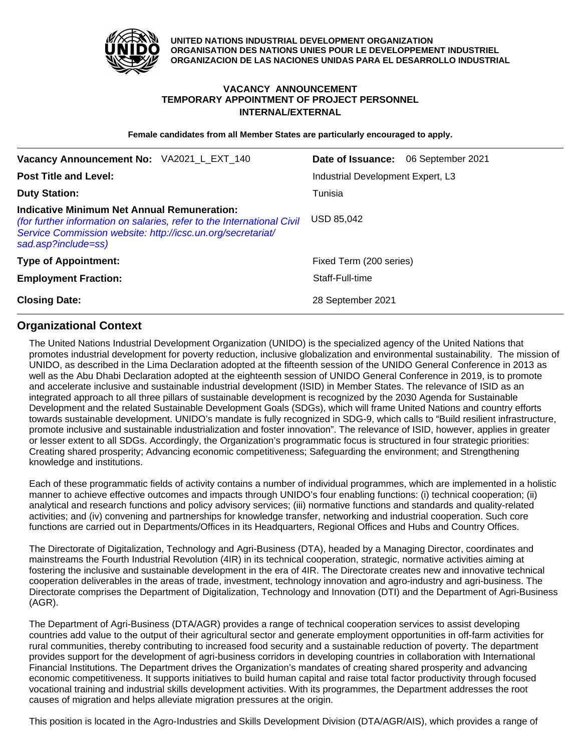

**UNITED NATIONS INDUSTRIAL DEVELOPMENT ORGANIZATION ORGANISATION DES NATIONS UNIES POUR LE DEVELOPPEMENT INDUSTRIEL ORGANIZACION DE LAS NACIONES UNIDAS PARA EL DESARROLLO INDUSTRIAL**

# **VACANCY ANNOUNCEMENT TEMPORARY APPOINTMENT OF PROJECT PERSONNEL INTERNAL/EXTERNAL**

**Female candidates from all Member States are particularly encouraged to apply.**

| Vacancy Announcement No: VA2021_L_EXT_140                                                                                                                                                                          | <b>Date of Issuance:</b> 06 September 2021 |
|--------------------------------------------------------------------------------------------------------------------------------------------------------------------------------------------------------------------|--------------------------------------------|
| <b>Post Title and Level:</b>                                                                                                                                                                                       | Industrial Development Expert, L3          |
| <b>Duty Station:</b>                                                                                                                                                                                               | Tunisia                                    |
| <b>Indicative Minimum Net Annual Remuneration:</b><br>(for further information on salaries, refer to the International Civil<br>Service Commission website: http://icsc.un.org/secretariat/<br>sad.asp?include=ss) | USD 85,042                                 |
| <b>Type of Appointment:</b>                                                                                                                                                                                        | Fixed Term (200 series)                    |
| <b>Employment Fraction:</b>                                                                                                                                                                                        | Staff-Full-time                            |
| <b>Closing Date:</b>                                                                                                                                                                                               | 28 September 2021                          |

## **Organizational Context**

The United Nations Industrial Development Organization (UNIDO) is the specialized agency of the United Nations that promotes industrial development for poverty reduction, inclusive globalization and environmental sustainability. The mission of UNIDO, as described in the Lima Declaration adopted at the fifteenth session of the UNIDO General Conference in 2013 as well as the Abu Dhabi Declaration adopted at the eighteenth session of UNIDO General Conference in 2019, is to promote and accelerate inclusive and sustainable industrial development (ISID) in Member States. The relevance of ISID as an integrated approach to all three pillars of sustainable development is recognized by the 2030 Agenda for Sustainable Development and the related Sustainable Development Goals (SDGs), which will frame United Nations and country efforts towards sustainable development. UNIDO's mandate is fully recognized in SDG-9, which calls to "Build resilient infrastructure, promote inclusive and sustainable industrialization and foster innovation". The relevance of ISID, however, applies in greater or lesser extent to all SDGs. Accordingly, the Organization's programmatic focus is structured in four strategic priorities: Creating shared prosperity; Advancing economic competitiveness; Safeguarding the environment; and Strengthening knowledge and institutions.

Each of these programmatic fields of activity contains a number of individual programmes, which are implemented in a holistic manner to achieve effective outcomes and impacts through UNIDO's four enabling functions: (i) technical cooperation; (ii) analytical and research functions and policy advisory services; (iii) normative functions and standards and quality-related activities; and (iv) convening and partnerships for knowledge transfer, networking and industrial cooperation. Such core functions are carried out in Departments/Offices in its Headquarters, Regional Offices and Hubs and Country Offices.

The Directorate of Digitalization, Technology and Agri-Business (DTA), headed by a Managing Director, coordinates and mainstreams the Fourth Industrial Revolution (4IR) in its technical cooperation, strategic, normative activities aiming at fostering the inclusive and sustainable development in the era of 4IR. The Directorate creates new and innovative technical cooperation deliverables in the areas of trade, investment, technology innovation and agro-industry and agri-business. The Directorate comprises the Department of Digitalization, Technology and Innovation (DTI) and the Department of Agri-Business (AGR).

The Department of Agri-Business (DTA/AGR) provides a range of technical cooperation services to assist developing countries add value to the output of their agricultural sector and generate employment opportunities in off-farm activities for rural communities, thereby contributing to increased food security and a sustainable reduction of poverty. The department provides support for the development of agri-business corridors in developing countries in collaboration with International Financial Institutions. The Department drives the Organization's mandates of creating shared prosperity and advancing economic competitiveness. It supports initiatives to build human capital and raise total factor productivity through focused vocational training and industrial skills development activities. With its programmes, the Department addresses the root causes of migration and helps alleviate migration pressures at the origin.

This position is located in the Agro-Industries and Skills Development Division (DTA/AGR/AIS), which provides a range of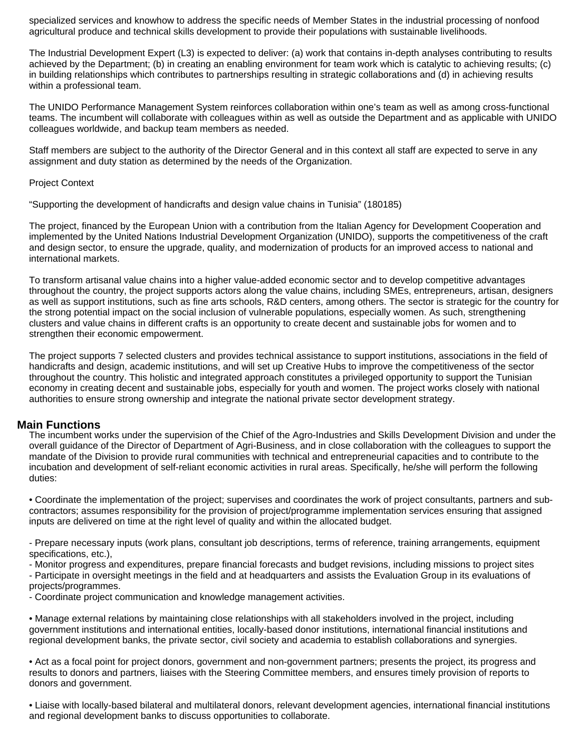specialized services and knowhow to address the specific needs of Member States in the industrial processing of nonfood agricultural produce and technical skills development to provide their populations with sustainable livelihoods.

The Industrial Development Expert (L3) is expected to deliver: (a) work that contains in-depth analyses contributing to results achieved by the Department; (b) in creating an enabling environment for team work which is catalytic to achieving results; (c) in building relationships which contributes to partnerships resulting in strategic collaborations and (d) in achieving results within a professional team.

The UNIDO Performance Management System reinforces collaboration within one's team as well as among cross-functional teams. The incumbent will collaborate with colleagues within as well as outside the Department and as applicable with UNIDO colleagues worldwide, and backup team members as needed.

Staff members are subject to the authority of the Director General and in this context all staff are expected to serve in any assignment and duty station as determined by the needs of the Organization.

## Project Context

"Supporting the development of handicrafts and design value chains in Tunisia" (180185)

The project, financed by the European Union with a contribution from the Italian Agency for Development Cooperation and implemented by the United Nations Industrial Development Organization (UNIDO), supports the competitiveness of the craft and design sector, to ensure the upgrade, quality, and modernization of products for an improved access to national and international markets.

To transform artisanal value chains into a higher value-added economic sector and to develop competitive advantages throughout the country, the project supports actors along the value chains, including SMEs, entrepreneurs, artisan, designers as well as support institutions, such as fine arts schools, R&D centers, among others. The sector is strategic for the country for the strong potential impact on the social inclusion of vulnerable populations, especially women. As such, strengthening clusters and value chains in different crafts is an opportunity to create decent and sustainable jobs for women and to strengthen their economic empowerment.

The project supports 7 selected clusters and provides technical assistance to support institutions, associations in the field of handicrafts and design, academic institutions, and will set up Creative Hubs to improve the competitiveness of the sector throughout the country. This holistic and integrated approach constitutes a privileged opportunity to support the Tunisian economy in creating decent and sustainable jobs, especially for youth and women. The project works closely with national authorities to ensure strong ownership and integrate the national private sector development strategy.

## **Main Functions**

The incumbent works under the supervision of the Chief of the Agro-Industries and Skills Development Division and under the overall guidance of the Director of Department of Agri-Business, and in close collaboration with the colleagues to support the mandate of the Division to provide rural communities with technical and entrepreneurial capacities and to contribute to the incubation and development of self-reliant economic activities in rural areas. Specifically, he/she will perform the following duties:

• Coordinate the implementation of the project; supervises and coordinates the work of project consultants, partners and subcontractors; assumes responsibility for the provision of project/programme implementation services ensuring that assigned inputs are delivered on time at the right level of quality and within the allocated budget.

- Prepare necessary inputs (work plans, consultant job descriptions, terms of reference, training arrangements, equipment specifications, etc.),

- Monitor progress and expenditures, prepare financial forecasts and budget revisions, including missions to project sites

- Participate in oversight meetings in the field and at headquarters and assists the Evaluation Group in its evaluations of projects/programmes.

- Coordinate project communication and knowledge management activities.

• Manage external relations by maintaining close relationships with all stakeholders involved in the project, including government institutions and international entities, locally-based donor institutions, international financial institutions and regional development banks, the private sector, civil society and academia to establish collaborations and synergies.

• Act as a focal point for project donors, government and non-government partners; presents the project, its progress and results to donors and partners, liaises with the Steering Committee members, and ensures timely provision of reports to donors and government.

• Liaise with locally-based bilateral and multilateral donors, relevant development agencies, international financial institutions and regional development banks to discuss opportunities to collaborate.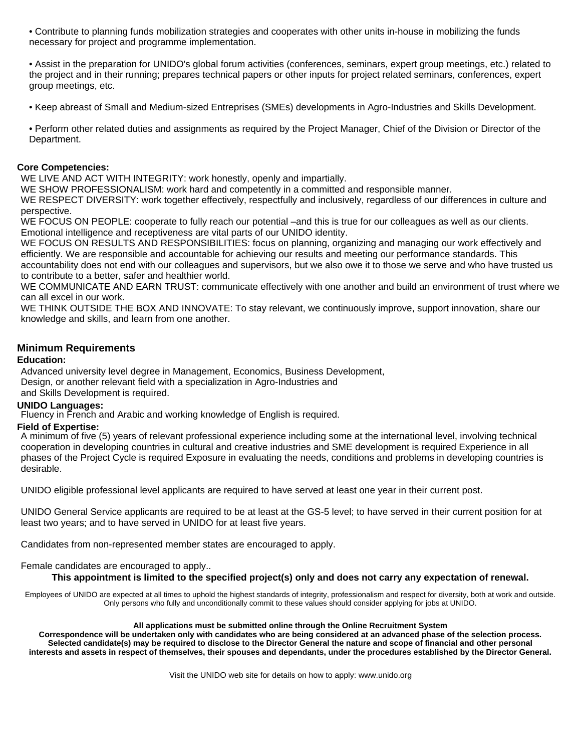• Contribute to planning funds mobilization strategies and cooperates with other units in-house in mobilizing the funds necessary for project and programme implementation.

• Assist in the preparation for UNIDO's global forum activities (conferences, seminars, expert group meetings, etc.) related to the project and in their running; prepares technical papers or other inputs for project related seminars, conferences, expert group meetings, etc.

• Keep abreast of Small and Medium-sized Entreprises (SMEs) developments in Agro-Industries and Skills Development.

• Perform other related duties and assignments as required by the Project Manager, Chief of the Division or Director of the Department.

## **Core Competencies:**

WE LIVE AND ACT WITH INTEGRITY: work honestly, openly and impartially.

WE SHOW PROFESSIONALISM: work hard and competently in a committed and responsible manner.

WE RESPECT DIVERSITY: work together effectively, respectfully and inclusively, regardless of our differences in culture and perspective.

WE FOCUS ON PEOPLE: cooperate to fully reach our potential –and this is true for our colleagues as well as our clients. Emotional intelligence and receptiveness are vital parts of our UNIDO identity.

WE FOCUS ON RESULTS AND RESPONSIBILITIES: focus on planning, organizing and managing our work effectively and efficiently. We are responsible and accountable for achieving our results and meeting our performance standards. This accountability does not end with our colleagues and supervisors, but we also owe it to those we serve and who have trusted us to contribute to a better, safer and healthier world.

WE COMMUNICATE AND EARN TRUST: communicate effectively with one another and build an environment of trust where we can all excel in our work.

WE THINK OUTSIDE THE BOX AND INNOVATE: To stay relevant, we continuously improve, support innovation, share our knowledge and skills, and learn from one another.

## **Minimum Requirements**

## **Education:**

Advanced university level degree in Management, Economics, Business Development, Design, or another relevant field with a specialization in Agro-Industries and and Skills Development is required.

## **UNIDO Languages:**

Fluency in French and Arabic and working knowledge of English is required.

## **Field of Expertise:**

A minimum of five (5) years of relevant professional experience including some at the international level, involving technical cooperation in developing countries in cultural and creative industries and SME development is required Experience in all phases of the Project Cycle is required Exposure in evaluating the needs, conditions and problems in developing countries is desirable.

UNIDO eligible professional level applicants are required to have served at least one year in their current post.

UNIDO General Service applicants are required to be at least at the GS-5 level; to have served in their current position for at least two years; and to have served in UNIDO for at least five years.

Candidates from non-represented member states are encouraged to apply.

## Female candidates are encouraged to apply..

## **This appointment is limited to the specified project(s) only and does not carry any expectation of renewal.**

Employees of UNIDO are expected at all times to uphold the highest standards of integrity, professionalism and respect for diversity, both at work and outside. Only persons who fully and unconditionally commit to these values should consider applying for jobs at UNIDO.

#### **All applications must be submitted online through the Online Recruitment System**

**Correspondence will be undertaken only with candidates who are being considered at an advanced phase of the selection process. Selected candidate(s) may be required to disclose to the Director General the nature and scope of financial and other personal interests and assets in respect of themselves, their spouses and dependants, under the procedures established by the Director General.** 

Visit the UNIDO web site for details on how to apply: www.unido.org